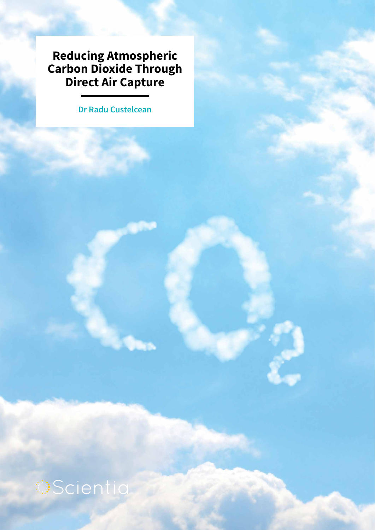**Reducing Atmospheric Carbon Dioxide Through Direct Air Capture**

**Dr Radu Custelcean**

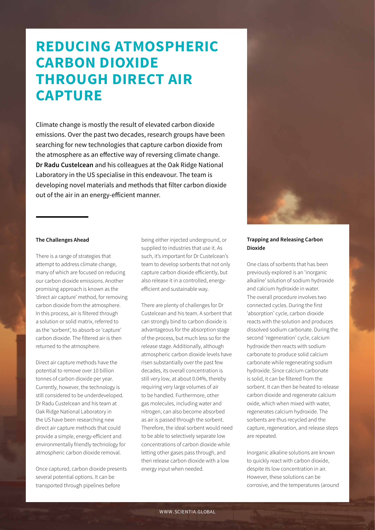# **REDUCING ATMOSPHERIC CARBON DIOXIDE THROUGH DIRECT AIR CAPTURE**

Climate change is mostly the result of elevated carbon dioxide emissions. Over the past two decades, research groups have been searching for new technologies that capture carbon dioxide from the atmosphere as an effective way of reversing climate change. **Dr Radu Custelcean** and his colleagues at the Oak Ridge National Laboratory in the US specialise in this endeavour. The team is developing novel materials and methods that filter carbon dioxide out of the air in an energy-efficient manner.



There is a range of strategies that attempt to address climate change, many of which are focused on reducing our carbon dioxide emissions. Another promising approach is known as the 'direct air capture' method, for removing carbon dioxide from the atmosphere. In this process, air is filtered through a solution or solid matrix, referred to as the 'sorbent', to absorb or 'capture' carbon dioxide. The filtered air is then returned to the atmosphere.

Direct air capture methods have the potential to remove over 10 billion tonnes of carbon dioxide per year. Currently, however, the technology is still considered to be underdeveloped. Dr Radu Custelcean and his team at Oak Ridge National Laboratory in the US have been researching new direct air capture methods that could provide a simple, energy-efficient and environmentally friendly technology for atmospheric carbon dioxide removal.

Once captured, carbon dioxide presents several potential options. It can be transported through pipelines before

being either injected underground, or supplied to industries that use it. As such, it's important for Dr Custelcean's team to develop sorbents that not only capture carbon dioxide efficiently, but also release it in a controlled, energyefficient and sustainable way.

There are plenty of challenges for Dr Custelcean and his team. A sorbent that can strongly bind to carbon dioxide is advantageous for the absorption stage of the process, but much less so for the release stage. Additionally, although atmospheric carbon dioxide levels have risen substantially over the past few decades, its overall concentration is still very low, at about 0.04%, thereby requiring very large volumes of air to be handled. Furthermore, other gas molecules, including water and nitrogen, can also become absorbed as air is passed through the sorbent. Therefore, the ideal sorbent would need to be able to selectively separate low concentrations of carbon dioxide while letting other gases pass through, and then release carbon dioxide with a low energy input when needed.



# **Trapping and Releasing Carbon Dioxide**

One class of sorbents that has been previously explored is an 'inorganic alkaline' solution of sodium hydroxide and calcium hydroxide in water. The overall procedure involves two connected cycles. During the first 'absorption' cycle, carbon dioxide reacts with the solution and produces dissolved sodium carbonate. During the second 'regeneration' cycle, calcium hydroxide then reacts with sodium carbonate to produce solid calcium carbonate while regenerating sodium hydroxide. Since calcium carbonate is solid, it can be filtered from the sorbent. It can then be heated to release carbon dioxide and regenerate calcium oxide, which when mixed with water, regenerates calcium hydroxide. The sorbents are thus recycled and the capture, regeneration, and release steps are repeated.

Inorganic alkaline solutions are known to quickly react with carbon dioxide, despite its low concentration in air. However, these solutions can be corrosive, and the temperatures (around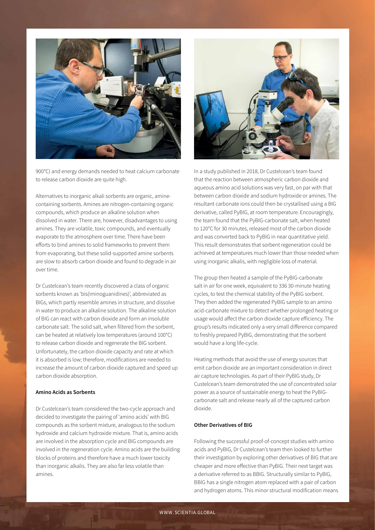

900°C) and energy demands needed to heat calcium carbonate to release carbon dioxide are quite high.

Alternatives to inorganic alkali sorbents are organic, aminecontaining sorbents. Amines are nitrogen-containing organic compounds, which produce an alkaline solution when dissolved in water. There are, however, disadvantages to using amines. They are volatile, toxic compounds, and eventually evaporate to the atmosphere over time. There have been efforts to bind amines to solid frameworks to prevent them from evaporating, but these solid-supported amine sorbents are slow to absorb carbon dioxide and found to degrade in air over time.

Dr Custelcean's team recently discovered a class of organic sorbents known as 'bis(iminoguanidines)', abbreviated as BIGs, which partly resemble amines in structure, and dissolve in water to produce an alkaline solution. The alkaline solution of BIG can react with carbon dioxide and form an insoluble carbonate salt. The solid salt, when filtered from the sorbent, can be heated at relatively low temperatures (around 100°C) to release carbon dioxide and regenerate the BIG sorbent. Unfortunately, the carbon dioxide capacity and rate at which it is absorbed is low; therefore, modifications are needed to increase the amount of carbon dioxide captured and speed up carbon dioxide absorption.

### **Amino Acids as Sorbents**

Dr Custelcean's team considered the two-cycle approach and decided to investigate the pairing of 'amino acids' with BIG compounds as the sorbent mixture, analogous to the sodium hydroxide and calcium hydroxide mixture. That is, amino acids are involved in the absorption cycle and BIG compounds are involved in the regeneration cycle. Amino acids are the building blocks of proteins and therefore have a much lower toxicity than inorganic alkalis. They are also far less volatile than amines.



In a study published in 2018, Dr Custelcean's team found that the reaction between atmospheric carbon dioxide and aqueous amino acid solutions was very fast, on par with that between carbon dioxide and sodium hydroxide or amines. The resultant carbonate ions could then be crystallised using a BIG derivative, called PyBIG, at room temperature. Encouragingly, the team found that the PyBIG-carbonate salt, when heated to 120°C for 30 minutes, released most of the carbon dioxide and was converted back to PyBIG in near quantitative yield. This result demonstrates that sorbent regeneration could be achieved at temperatures much lower than those needed when using inorganic alkalis, with negligible loss of material.

The group then heated a sample of the PyBIG-carbonate salt in air for one week, equivalent to 336 30-minute heating cycles, to test the chemical stability of the PyBIG sorbent. They then added the regenerated PyBIG sample to an amino acid-carbonate mixture to detect whether prolonged heating or usage would affect the carbon dioxide capture efficiency. The group's results indicated only a very small difference compared to freshly prepared PyBIG, demonstrating that the sorbent would have a long life-cycle.

Heating methods that avoid the use of energy sources that emit carbon dioxide are an important consideration in direct air capture technologies. As part of their PyBIG study, Dr Custelcean's team demonstrated the use of concentrated solar power as a source of sustainable energy to heat the PyBIGcarbonate salt and release nearly all of the captured carbon dioxide.

### **Other Derivatives of BIG**

Following the successful proof-of-concept studies with amino acids and PyBIG, Dr Custelcean's team then looked to further their investigation by exploring other derivatives of BIG that are cheaper and more effective than PyBIG. Their next target was a derivative referred to as BBIG. Structurally similar to PyBIG, BBIG has a single nitrogen atom replaced with a pair of carbon and hydrogen atoms. This minor structural modification means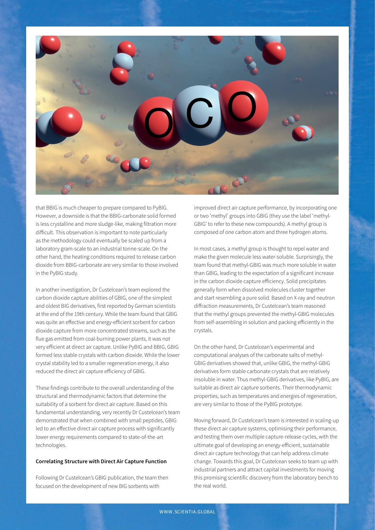

that BBIG is much cheaper to prepare compared to PyBIG. However, a downside is that the BBIG-carbonate solid formed is less crystalline and more sludge-like, making filtration more difficult. This observation is important to note particularly as the methodology could eventually be scaled up from a laboratory gram-scale to an industrial tonne-scale. On the other hand, the heating conditions required to release carbon dioxide from BBIG-carbonate are very similar to those involved in the PyBIG study.

In another investigation, Dr Custelcean's team explored the carbon dioxide capture abilities of GBIG, one of the simplest and oldest BIG derivatives, first reported by German scientists at the end of the 19th century. While the team found that GBIG was quite an effective and energy-efficient sorbent for carbon dioxide capture from more concentrated streams, such as the flue gas emitted from coal-burning power plants, it was not very efficient at direct air capture. Unlike PyBIG and BBIG, GBIG formed less stable crystals with carbon dioxide. While the lower crystal stability led to a smaller regeneration energy, it also reduced the direct air capture efficiency of GBIG.

These findings contribute to the overall understanding of the structural and thermodynamic factors that determine the suitability of a sorbent for direct air capture. Based on this fundamental understanding, very recently Dr Custelcean's team demonstrated that when combined with small peptides, GBIG led to an effective direct air capture process with significantly lower energy requirements compared to state-of-the-art technologies.

### **Correlating Structure with Direct Air Capture Function**

Following Dr Custelcean's GBIG publication, the team then focused on the development of new BIG sorbents with

improved direct air capture performance, by incorporating one or two 'methyl' groups into GBIG (they use the label 'methyl-GBIG' to refer to these new compounds). A methyl group is composed of one carbon atom and three hydrogen atoms.

In most cases, a methyl group is thought to repel water and make the given molecule less water-soluble. Surprisingly, the team found that methyl-GBIG was much more soluble in water than GBIG, leading to the expectation of a significant increase in the carbon dioxide capture efficiency. Solid precipitates generally form when dissolved molecules cluster together and start resembling a pure solid. Based on X-ray and neutron diffraction measurements, Dr Custelcean's team reasoned that the methyl groups prevented the methyl-GBIG molecules from self-assembling in solution and packing efficiently in the crystals.

On the other hand, Dr Custelcean's experimental and computational analyses of the carbonate salts of methyl-GBIG derivatives showed that, unlike GBIG, the methyl-GBIG derivatives form stable carbonate crystals that are relatively insoluble in water. Thus methyl-GBIG derivatives, like PyBIG, are suitable as direct air capture sorbents. Their thermodynamic properties, such as temperatures and energies of regeneration, are very similar to those of the PyBIG prototype.

Moving forward, Dr Custelcean's team is interested in scaling-up these direct air capture systems, optimising their performance, and testing them over multiple capture-release cycles, with the ultimate goal of developing an energy-efficient, sustainable direct air capture technology that can help address climate change. Towards this goal, Dr Custelcean seeks to team up with industrial partners and attract capital investments for moving this promising scientific discovery from the laboratory bench to the real world.